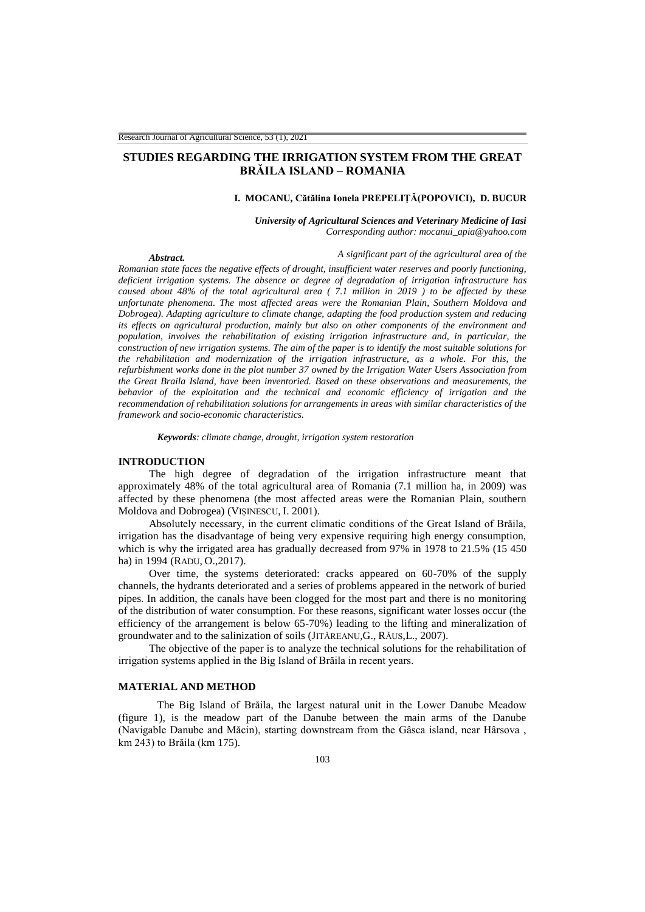# **STUDIES REGARDING THE IRRIGATION SYSTEM FROM THE GREAT BRĂILA ISLAND – ROMANIA**

## **I. MOCANU, Cătălina Ionela PREPELIŢĂ(POPOVICI), D. BUCUR**

*University of Agricultural Sciences and Veterinary Medicine of Iasi Corresponding author: mocanui\_apia@yahoo.com* 

### *Abstract. A significant part of the agricultural area of the*

*Romanian state faces the negative effects of drought, insufficient water reserves and poorly functioning, deficient irrigation systems. The absence or degree of degradation of irrigation infrastructure has caused about 48% of the total agricultural area ( 7.1 million in 2019 ) to be affected by these unfortunate phenomena. The most affected areas were the Romanian Plain, Southern Moldova and Dobrogea). Adapting agriculture to climate change, adapting the food production system and reducing its effects on agricultural production, mainly but also on other components of the environment and population, involves the rehabilitation of existing irrigation infrastructure and, in particular, the construction of new irrigation systems. The aim of the paper is to identify the most suitable solutions for the rehabilitation and modernization of the irrigation infrastructure, as a whole. For this, the refurbishment works done in the plot number 37 owned by the Irrigation Water Users Association from the Great Braila Island, have been inventoried. Based on these observations and measurements, the behavior of the exploitation and the technical and economic efficiency of irrigation and the recommendation of rehabilitation solutions for arrangements in areas with similar characteristics of the framework and socio-economic characteristics.* 

*Keywords: climate change, drought, irrigation system restoration*

#### **INTRODUCTION**

The high degree of degradation of the irrigation infrastructure meant that approximately 48% of the total agricultural area of Romania (7.1 million ha, in 2009) was affected by these phenomena (the most affected areas were the Romanian Plain, southern Moldova and Dobrogea) (VIȘINESCU, I. 2001).

Absolutely necessary, in the current climatic conditions of the Great Island of Brăila, irrigation has the disadvantage of being very expensive requiring high energy consumption, which is why the irrigated area has gradually decreased from 97% in 1978 to 21.5% (15 450 ha) in 1994 (RADU, O.,2017).

Over time, the systems deteriorated: cracks appeared on 60-70% of the supply channels, the hydrants deteriorated and a series of problems appeared in the network of buried pipes. In addition, the canals have been clogged for the most part and there is no monitoring of the distribution of water consumption. For these reasons, significant water losses occur (the efficiency of the arrangement is below 65-70%) leading to the lifting and mineralization of groundwater and to the salinization of soils (JITĂREANU,G., RĂUS,L., 2007).

The objective of the paper is to analyze the technical solutions for the rehabilitation of irrigation systems applied in the Big Island of Brăila in recent years.

#### **MATERIAL AND METHOD**

The Big Island of Brăila, the largest natural unit in the Lower Danube Meadow (figure 1), is the meadow part of the Danube between the main arms of the Danube (Navigable Danube and Măcin), starting downstream from the Gâsca island, near Hârsova , km 243) to Brăila (km 175).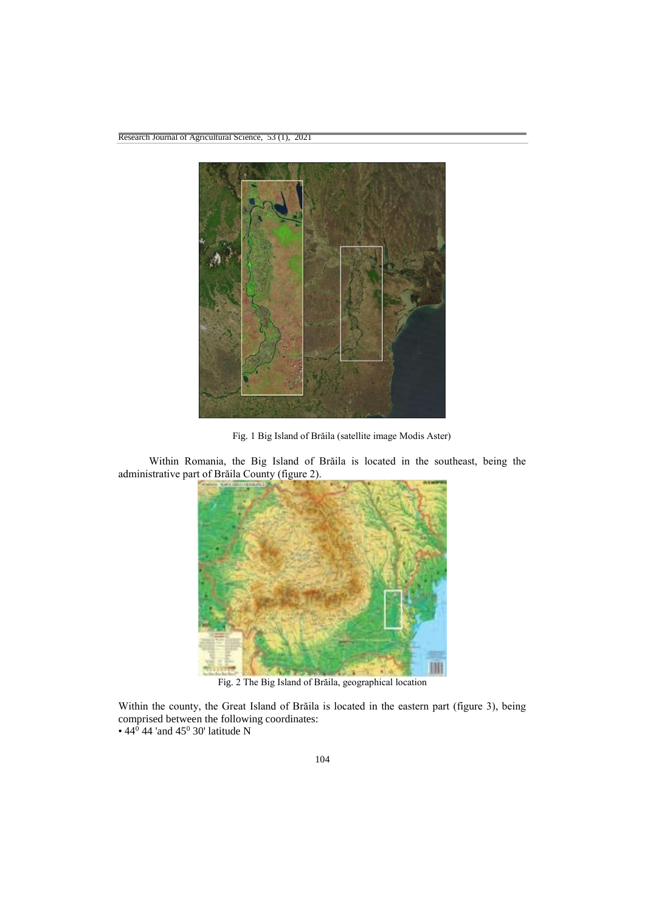

Fig. 1 Big Island of Brăila (satellite image Modis Aster)

Within Romania, the Big Island of Brăila is located in the southeast, being the administrative part of Brăila County (figure 2).



Fig. 2 The Big Island of Brăila, geographical location

Within the county, the Great Island of Brăila is located in the eastern part (figure 3), being comprised between the following coordinates: • 44<sup>0</sup> 44 'and 45<sup>0</sup> 30' latitude N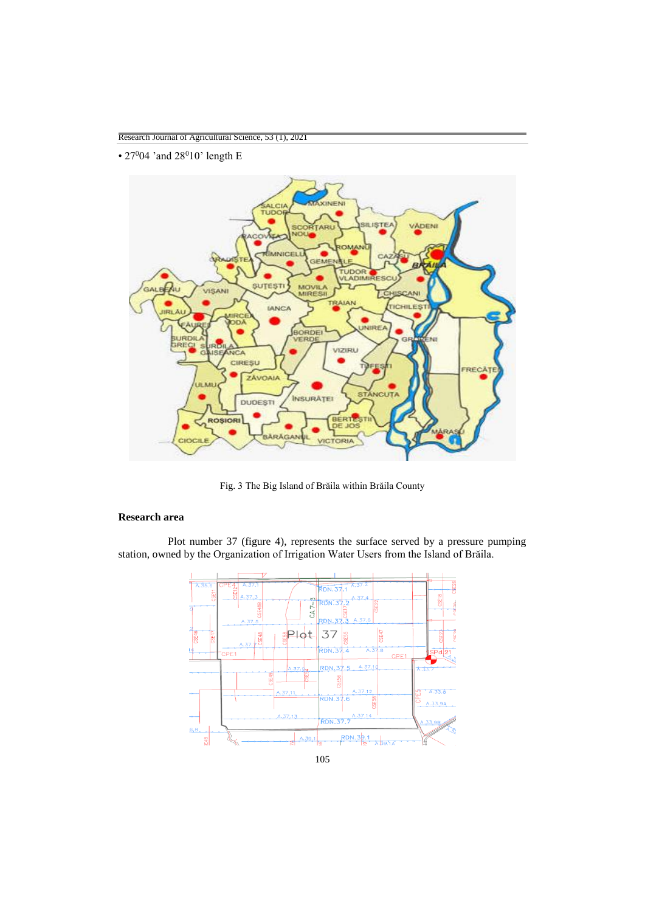• 27°04' and 28°10' length E



Fig. 3 The Big Island of Brăila within Brăila County

## **Research area**

Plot number 37 (figure 4), represents the surface served by a pressure pumping station, owned by the Organization of Irrigation Water Users from the Island of Brăila.



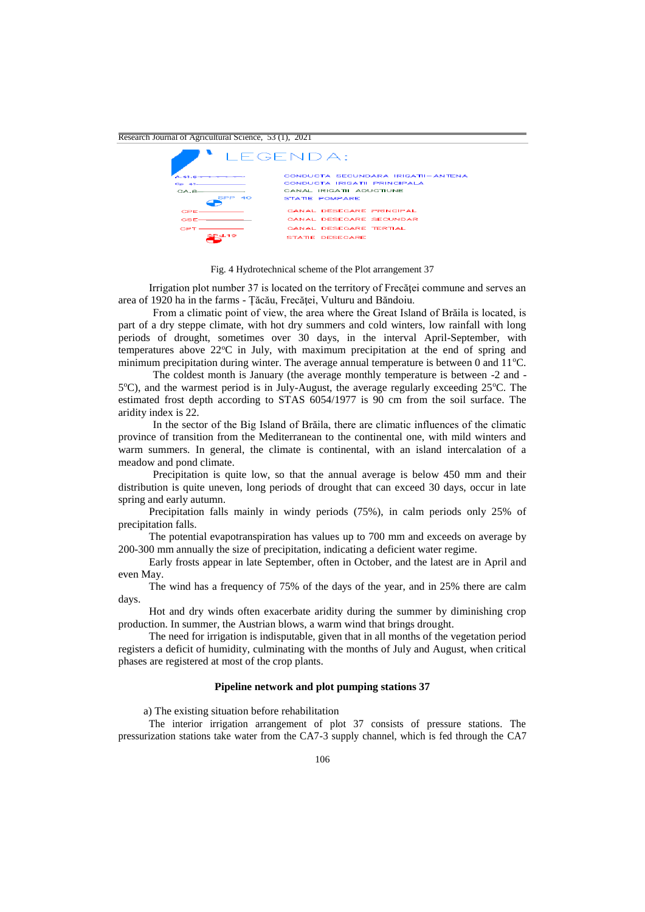

Fig. 4 Hydrotechnical scheme of the Plot arrangement 37

Irrigation plot number 37 is located on the territory of Frecăţei commune and serves an area of 1920 ha in the farms - Țăcău, Frecăţei, Vulturu and Băndoiu.

From a climatic point of view, the area where the Great Island of Brăila is located, is part of a dry steppe climate, with hot dry summers and cold winters, low rainfall with long periods of drought, sometimes over 30 days, in the interval April-September, with temperatures above 22°C in July, with maximum precipitation at the end of spring and minimum precipitation during winter. The average annual temperature is between 0 and  $11^{\circ}$ C.

The coldest month is January (the average monthly temperature is between -2 and - 5°C), and the warmest period is in July-August, the average regularly exceeding 25°C. The estimated frost depth according to STAS 6054/1977 is 90 cm from the soil surface. The aridity index is 22.

In the sector of the Big Island of Brăila, there are climatic influences of the climatic province of transition from the Mediterranean to the continental one, with mild winters and warm summers. In general, the climate is continental, with an island intercalation of a meadow and pond climate.

Precipitation is quite low, so that the annual average is below 450 mm and their distribution is quite uneven, long periods of drought that can exceed 30 days, occur in late spring and early autumn.

Precipitation falls mainly in windy periods (75%), in calm periods only 25% of precipitation falls.

The potential evapotranspiration has values up to 700 mm and exceeds on average by 200-300 mm annually the size of precipitation, indicating a deficient water regime.

Early frosts appear in late September, often in October, and the latest are in April and even May.

The wind has a frequency of 75% of the days of the year, and in 25% there are calm days.

Hot and dry winds often exacerbate aridity during the summer by diminishing crop production. In summer, the Austrian blows, a warm wind that brings drought.

The need for irrigation is indisputable, given that in all months of the vegetation period registers a deficit of humidity, culminating with the months of July and August, when critical phases are registered at most of the crop plants.

### **Pipeline network and plot pumping stations 37**

a) The existing situation before rehabilitation

The interior irrigation arrangement of plot 37 consists of pressure stations. The pressurization stations take water from the CA7-3 supply channel, which is fed through the CA7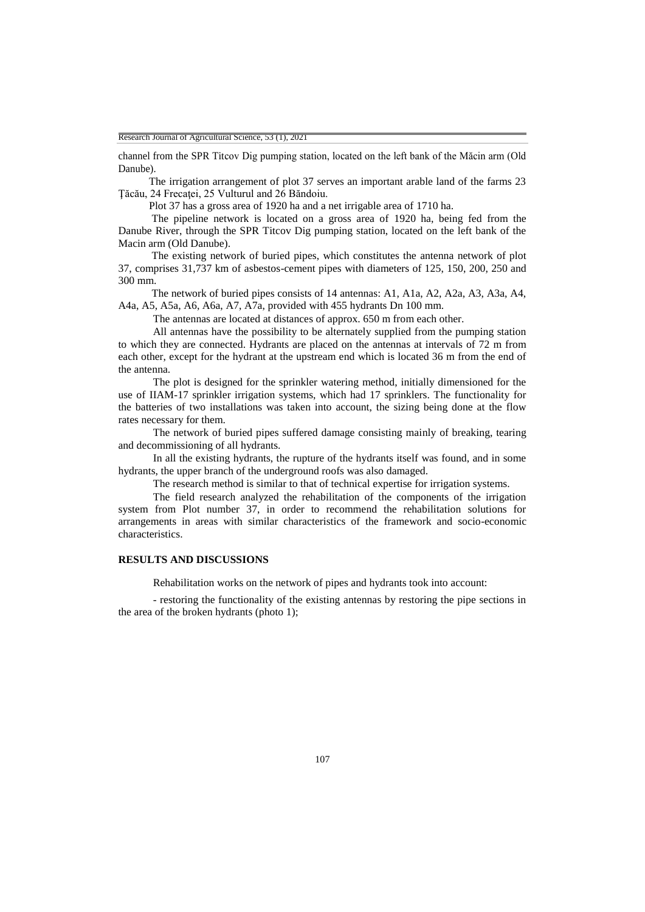channel from the SPR Titcov Dig pumping station, located on the left bank of the Măcin arm (Old Danube).

The irrigation arrangement of plot 37 serves an important arable land of the farms 23 Ţăcău, 24 Frecaţei, 25 Vulturul and 26 Băndoiu.

Plot 37 has a gross area of 1920 ha and a net irrigable area of 1710 ha.

The pipeline network is located on a gross area of 1920 ha, being fed from the Danube River, through the SPR Titcov Dig pumping station, located on the left bank of the Macin arm (Old Danube).

The existing network of buried pipes, which constitutes the antenna network of plot 37, comprises 31,737 km of asbestos-cement pipes with diameters of 125, 150, 200, 250 and 300 mm.

The network of buried pipes consists of 14 antennas: A1, A1a, A2, A2a, A3, A3a, A4, A4a, A5, A5a, A6, A6a, A7, A7a, provided with 455 hydrants Dn 100 mm.

The antennas are located at distances of approx. 650 m from each other.

All antennas have the possibility to be alternately supplied from the pumping station to which they are connected. Hydrants are placed on the antennas at intervals of 72 m from each other, except for the hydrant at the upstream end which is located 36 m from the end of the antenna.

The plot is designed for the sprinkler watering method, initially dimensioned for the use of IIAM-17 sprinkler irrigation systems, which had 17 sprinklers. The functionality for the batteries of two installations was taken into account, the sizing being done at the flow rates necessary for them.

The network of buried pipes suffered damage consisting mainly of breaking, tearing and decommissioning of all hydrants.

In all the existing hydrants, the rupture of the hydrants itself was found, and in some hydrants, the upper branch of the underground roofs was also damaged.

The research method is similar to that of technical expertise for irrigation systems.

The field research analyzed the rehabilitation of the components of the irrigation system from Plot number 37, in order to recommend the rehabilitation solutions for arrangements in areas with similar characteristics of the framework and socio-economic characteristics.

### **RESULTS AND DISCUSSIONS**

Rehabilitation works on the network of pipes and hydrants took into account:

- restoring the functionality of the existing antennas by restoring the pipe sections in the area of the broken hydrants (photo 1);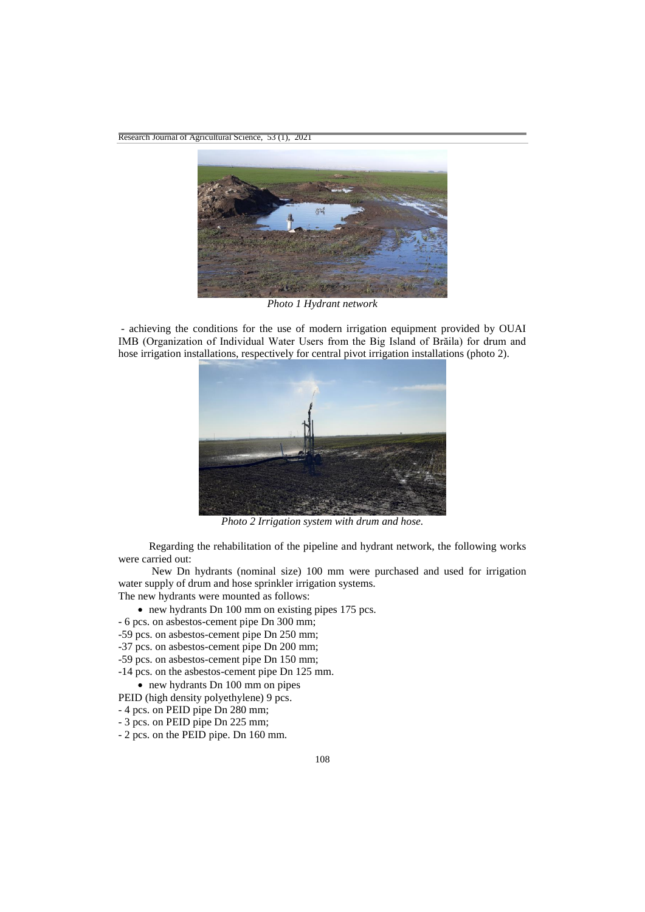

*Photo 1 Hydrant network*

*-* achieving the conditions for the use of modern irrigation equipment provided by OUAI IMB (Organization of Individual Water Users from the Big Island of Brăila) for drum and hose irrigation installations, respectively for central pivot irrigation installations (photo 2).



*Photo 2 Irrigation system with drum and hose.*

Regarding the rehabilitation of the pipeline and hydrant network, the following works were carried out:

New Dn hydrants (nominal size) 100 mm were purchased and used for irrigation water supply of drum and hose sprinkler irrigation systems. The new hydrants were mounted as follows:

- new hydrants Dn 100 mm on existing pipes 175 pcs.
- 6 pcs. on asbestos-cement pipe Dn 300 mm;
- -59 pcs. on asbestos-cement pipe Dn 250 mm;
- -37 pcs. on asbestos-cement pipe Dn 200 mm;
- -59 pcs. on asbestos-cement pipe Dn 150 mm;
- -14 pcs. on the asbestos-cement pipe Dn 125 mm.
- new hydrants Dn 100 mm on pipes
- PEID (high density polyethylene) 9 pcs.
- 4 pcs. on PEID pipe Dn 280 mm;
- 3 pcs. on PEID pipe Dn 225 mm;
- 2 pcs. on the PEID pipe. Dn 160 mm.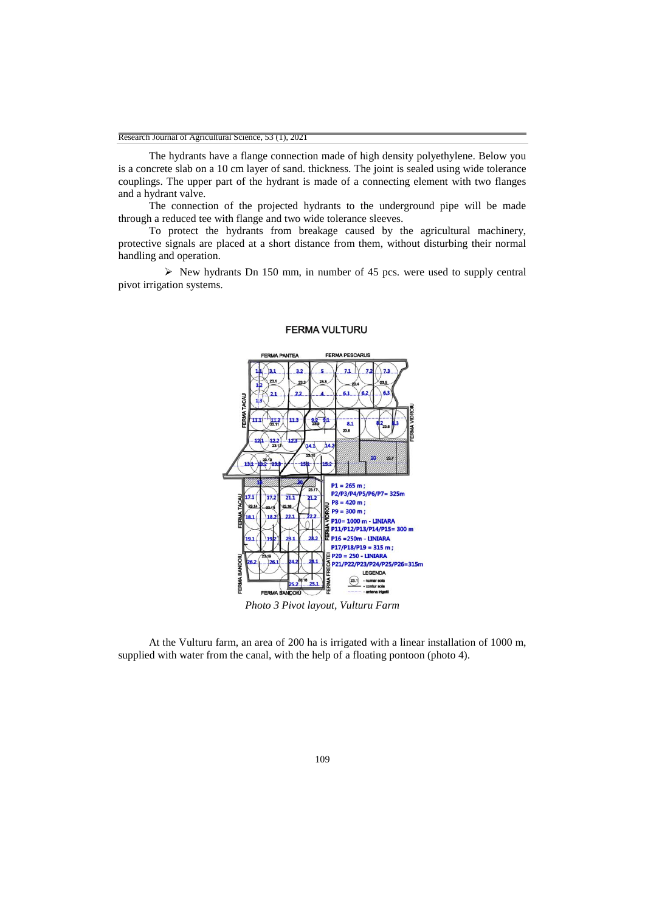The hydrants have a flange connection made of high density polyethylene. Below you is a concrete slab on a 10 cm layer of sand. thickness. The joint is sealed using wide tolerance couplings. The upper part of the hydrant is made of a connecting element with two flanges and a hydrant valve.

The connection of the projected hydrants to the underground pipe will be made through a reduced tee with flange and two wide tolerance sleeves.

To protect the hydrants from breakage caused by the agricultural machinery, protective signals are placed at a short distance from them, without disturbing their normal handling and operation.

 $\triangleright$  New hydrants Dn 150 mm, in number of 45 pcs. were used to supply central pivot irrigation systems.



#### **FERMA VULTURU**

*Photo 3 Pivot layout, Vulturu Farm*

At the Vulturu farm, an area of 200 ha is irrigated with a linear installation of 1000 m, supplied with water from the canal, with the help of a floating pontoon (photo 4).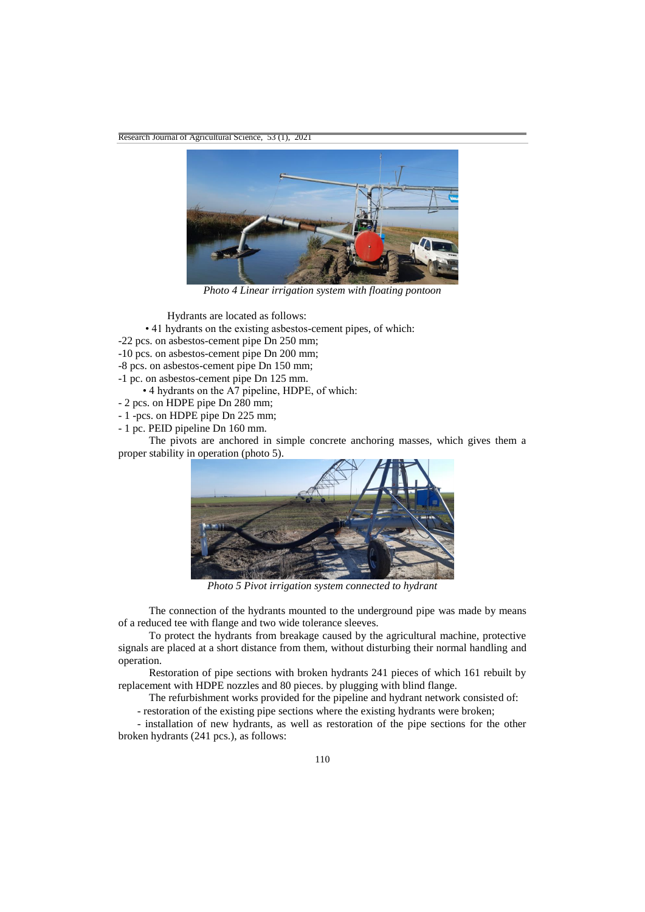

*Photo 4 Linear irrigation system with floating pontoon*

Hydrants are located as follows:

- 41 hydrants on the existing asbestos-cement pipes, of which:
- -22 pcs. on asbestos-cement pipe Dn 250 mm;
- -10 pcs. on asbestos-cement pipe Dn 200 mm;
- -8 pcs. on asbestos-cement pipe Dn 150 mm;
- -1 pc. on asbestos-cement pipe Dn 125 mm.
	- 4 hydrants on the A7 pipeline, HDPE, of which:
- 2 pcs. on HDPE pipe Dn 280 mm;
- 1 -pcs. on HDPE pipe Dn 225 mm;
- 1 pc. PEID pipeline Dn 160 mm.

The pivots are anchored in simple concrete anchoring masses, which gives them a proper stability in operation (photo 5).



*Photo 5 Pivot irrigation system connected to hydrant*

The connection of the hydrants mounted to the underground pipe was made by means of a reduced tee with flange and two wide tolerance sleeves.

To protect the hydrants from breakage caused by the agricultural machine, protective signals are placed at a short distance from them, without disturbing their normal handling and operation.

Restoration of pipe sections with broken hydrants 241 pieces of which 161 rebuilt by replacement with HDPE nozzles and 80 pieces. by plugging with blind flange.

The refurbishment works provided for the pipeline and hydrant network consisted of:

- restoration of the existing pipe sections where the existing hydrants were broken;

 - installation of new hydrants, as well as restoration of the pipe sections for the other broken hydrants (241 pcs.), as follows: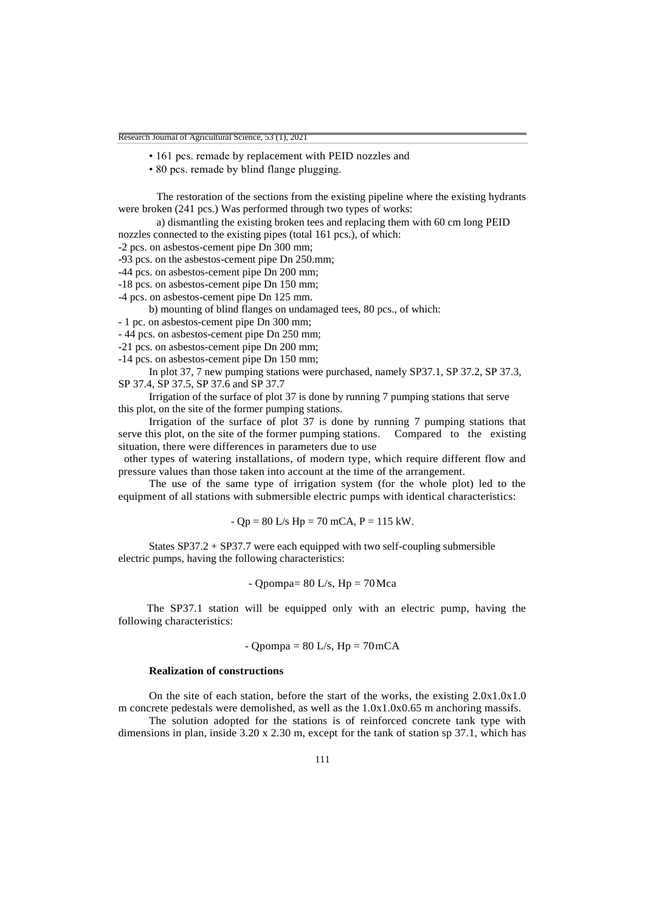- 161 pcs. remade by replacement with PEID nozzles and
- 80 pcs. remade by blind flange plugging.

The restoration of the sections from the existing pipeline where the existing hydrants were broken (241 pcs.) Was performed through two types of works:

a) dismantling the existing broken tees and replacing them with 60 cm long PEID nozzles connected to the existing pipes (total 161 pcs.), of which:

-2 pcs. on asbestos-cement pipe Dn 300 mm;

-93 pcs. on the asbestos-cement pipe Dn 250.mm;

-44 pcs. on asbestos-cement pipe Dn 200 mm;

-18 pcs. on asbestos-cement pipe Dn 150 mm;

-4 pcs. on asbestos-cement pipe Dn 125 mm.

b) mounting of blind flanges on undamaged tees, 80 pcs., of which:

- 1 pc. on asbestos-cement pipe Dn 300 mm;

- 44 pcs. on asbestos-cement pipe Dn 250 mm;

-21 pcs. on asbestos-cement pipe Dn 200 mm;

-14 pcs. on asbestos-cement pipe Dn 150 mm;

In plot 37, 7 new pumping stations were purchased, namely SP37.1, SP 37.2, SP 37.3, SP 37.4, SP 37.5, SP 37.6 and SP 37.7

Irrigation of the surface of plot 37 is done by running 7 pumping stations that serve this plot, on the site of the former pumping stations.

Irrigation of the surface of plot 37 is done by running 7 pumping stations that serve this plot, on the site of the former pumping stations. Compared to the existing situation, there were differences in parameters due to use

 other types of watering installations, of modern type, which require different flow and pressure values than those taken into account at the time of the arrangement.

The use of the same type of irrigation system (for the whole plot) led to the equipment of all stations with submersible electric pumps with identical characteristics:

 $- Qp = 80$  L/s Hp = 70 mCA, P = 115 kW.

States SP37.2 + SP37.7 were each equipped with two self-coupling submersible electric pumps, having the following characteristics:

- Qpompa= 
$$
80 \text{ L/s}
$$
,  $Hp = 70 \text{ Mca}$ 

 The SP37.1 station will be equipped only with an electric pump, having the following characteristics:

- Qpompa = 
$$
80 \text{ L/s}
$$
,  $Hp = 70 \text{ mCA}$ 

#### **Realization of constructions**

On the site of each station, before the start of the works, the existing  $2.0x1.0x1.0$ m concrete pedestals were demolished, as well as the 1.0x1.0x0.65 m anchoring massifs.

The solution adopted for the stations is of reinforced concrete tank type with dimensions in plan, inside 3.20 x 2.30 m, except for the tank of station sp 37.1, which has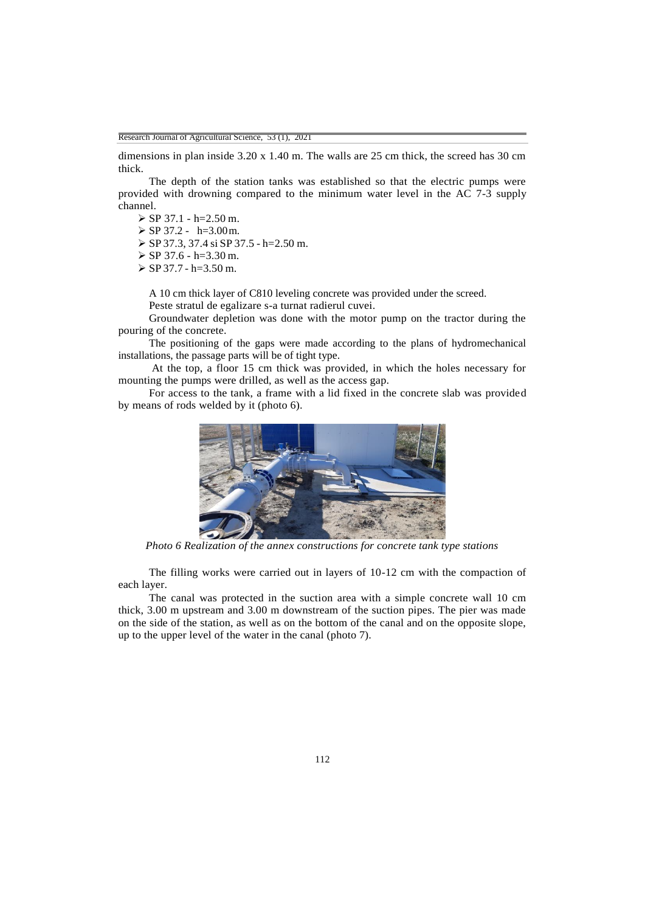dimensions in plan inside 3.20 x 1.40 m. The walls are 25 cm thick, the screed has 30 cm thick.

The depth of the station tanks was established so that the electric pumps were provided with drowning compared to the minimum water level in the AC 7-3 supply channel.

 $\triangleright$  SP 37.1 - h=2.50 m.

 $\triangleright$  SP 37.2 - h=3.00 m.

 $\triangleright$  SP 37.3, 37.4 si SP 37.5 - h=2.50 m.

 $\triangleright$  SP 37.6 - h=3.30 m.

 $\ge$  SP 37.7 - h=3.50 m.

A 10 cm thick layer of C810 leveling concrete was provided under the screed.

Peste stratul de egalizare s-a turnat radierul cuvei.

Groundwater depletion was done with the motor pump on the tractor during the pouring of the concrete.

The positioning of the gaps were made according to the plans of hydromechanical installations, the passage parts will be of tight type.

At the top, a floor 15 cm thick was provided, in which the holes necessary for mounting the pumps were drilled, as well as the access gap.

For access to the tank, a frame with a lid fixed in the concrete slab was provided by means of rods welded by it (photo 6).



*Photo 6 Realization of the annex constructions for concrete tank type stations*

The filling works were carried out in layers of 10-12 cm with the compaction of each layer.

The canal was protected in the suction area with a simple concrete wall 10 cm thick, 3.00 m upstream and 3.00 m downstream of the suction pipes. The pier was made on the side of the station, as well as on the bottom of the canal and on the opposite slope, up to the upper level of the water in the canal (photo 7).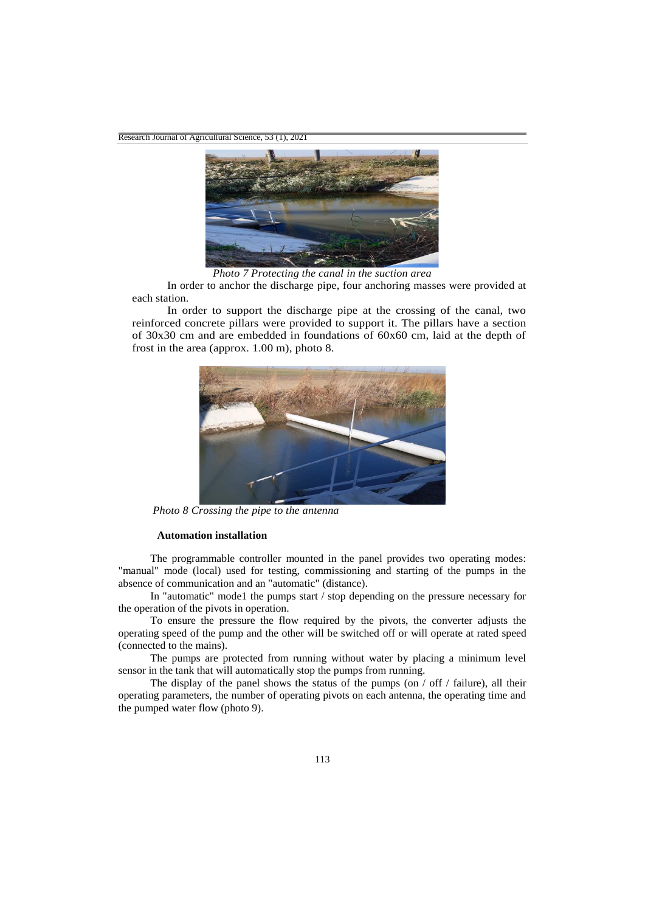

*Photo 7 Protecting the canal in the suction area*

In order to anchor the discharge pipe, four anchoring masses were provided at each station.

In order to support the discharge pipe at the crossing of the canal, two reinforced concrete pillars were provided to support it. The pillars have a section of 30x30 cm and are embedded in foundations of 60x60 cm, laid at the depth of frost in the area (approx. 1.00 m), photo 8.



*Photo 8 Crossing the pipe to the antenna*

### **Automation installation**

The programmable controller mounted in the panel provides two operating modes: "manual" mode (local) used for testing, commissioning and starting of the pumps in the absence of communication and an "automatic" (distance).

In "automatic" mode1 the pumps start / stop depending on the pressure necessary for the operation of the pivots in operation.

To ensure the pressure the flow required by the pivots, the converter adjusts the operating speed of the pump and the other will be switched off or will operate at rated speed (connected to the mains).

The pumps are protected from running without water by placing a minimum level sensor in the tank that will automatically stop the pumps from running.

The display of the panel shows the status of the pumps (on  $/$  off  $/$  failure), all their operating parameters, the number of operating pivots on each antenna, the operating time and the pumped water flow (photo 9).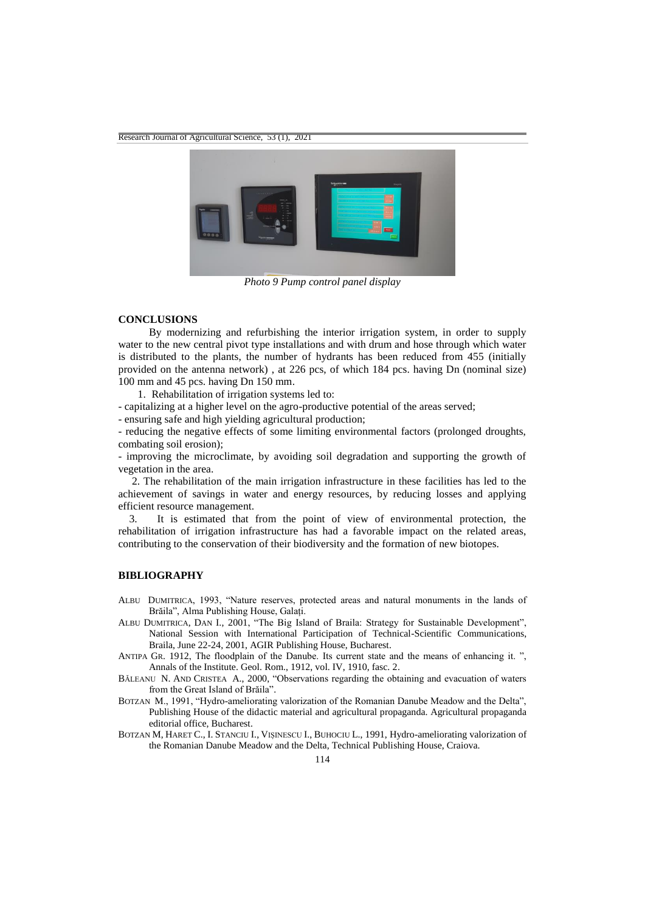

*Photo 9 Pump control panel display*

#### **CONCLUSIONS**

By modernizing and refurbishing the interior irrigation system, in order to supply water to the new central pivot type installations and with drum and hose through which water is distributed to the plants, the number of hydrants has been reduced from 455 (initially provided on the antenna network) , at 226 pcs, of which 184 pcs. having Dn (nominal size) 100 mm and 45 pcs. having Dn 150 mm.

1. Rehabilitation of irrigation systems led to:

- capitalizing at a higher level on the agro-productive potential of the areas served;

- ensuring safe and high yielding agricultural production;

- reducing the negative effects of some limiting environmental factors (prolonged droughts, combating soil erosion);

- improving the microclimate, by avoiding soil degradation and supporting the growth of vegetation in the area.

 2. The rehabilitation of the main irrigation infrastructure in these facilities has led to the achievement of savings in water and energy resources, by reducing losses and applying efficient resource management.

 3. It is estimated that from the point of view of environmental protection, the rehabilitation of irrigation infrastructure has had a favorable impact on the related areas, contributing to the conservation of their biodiversity and the formation of new biotopes.

## **BIBLIOGRAPHY**

- ALBU DUMITRICA, 1993, "Nature reserves, protected areas and natural monuments in the lands of Brăila", Alma Publishing House, Galați.
- ALBU DUMITRICA, DAN I., 2001, "The Big Island of Braila: Strategy for Sustainable Development", National Session with International Participation of Technical-Scientific Communications, Braila, June 22-24, 2001, AGIR Publishing House, Bucharest.
- ANTIPA GR. 1912, The floodplain of the Danube. Its current state and the means of enhancing it. ", Annals of the Institute. Geol. Rom., 1912, vol. IV, 1910, fasc. 2.
- BĂLEANU N. AND CRISTEA A., 2000, "Observations regarding the obtaining and evacuation of waters from the Great Island of Brăila".
- BOTZAN M., 1991, "Hydro-ameliorating valorization of the Romanian Danube Meadow and the Delta", Publishing House of the didactic material and agricultural propaganda. Agricultural propaganda editorial office, Bucharest.
- BOTZAN M, HARET C., I. STANCIU I., VIȘINESCU I., BUHOCIU L., 1991, Hydro-ameliorating valorization of the Romanian Danube Meadow and the Delta, Technical Publishing House, Craiova.